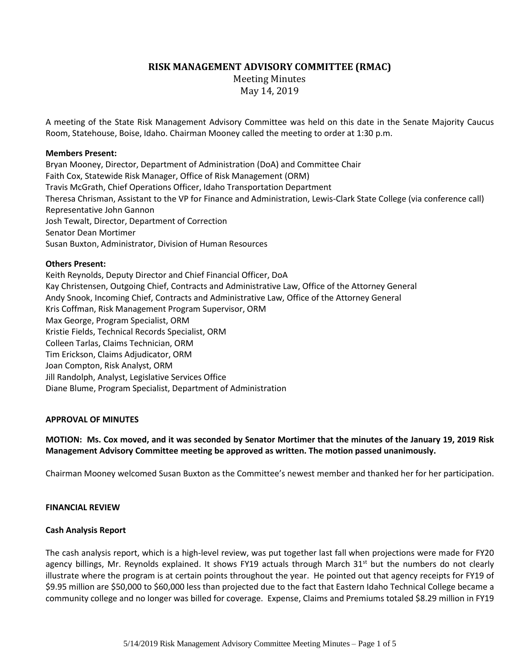# **RISK MANAGEMENT ADVISORY COMMITTEE (RMAC)**

Meeting Minutes May 14, 2019

A meeting of the State Risk Management Advisory Committee was held on this date in the Senate Majority Caucus Room, Statehouse, Boise, Idaho. Chairman Mooney called the meeting to order at 1:30 p.m.

### **Members Present:**

Bryan Mooney, Director, Department of Administration (DoA) and Committee Chair Faith Cox, Statewide Risk Manager, Office of Risk Management (ORM) Travis McGrath, Chief Operations Officer, Idaho Transportation Department Theresa Chrisman, Assistant to the VP for Finance and Administration, Lewis-Clark State College (via conference call) Representative John Gannon Josh Tewalt, Director, Department of Correction Senator Dean Mortimer Susan Buxton, Administrator, Division of Human Resources

### **Others Present:**

Keith Reynolds, Deputy Director and Chief Financial Officer, DoA Kay Christensen, Outgoing Chief, Contracts and Administrative Law, Office of the Attorney General Andy Snook, Incoming Chief, Contracts and Administrative Law, Office of the Attorney General Kris Coffman, Risk Management Program Supervisor, ORM Max George, Program Specialist, ORM Kristie Fields, Technical Records Specialist, ORM Colleen Tarlas, Claims Technician, ORM Tim Erickson, Claims Adjudicator, ORM Joan Compton, Risk Analyst, ORM Jill Randolph, Analyst, Legislative Services Office Diane Blume, Program Specialist, Department of Administration

# **APPROVAL OF MINUTES**

**MOTION: Ms. Cox moved, and it was seconded by Senator Mortimer that the minutes of the January 19, 2019 Risk Management Advisory Committee meeting be approved as written. The motion passed unanimously.**

Chairman Mooney welcomed Susan Buxton as the Committee's newest member and thanked her for her participation.

#### **FINANCIAL REVIEW**

#### **Cash Analysis Report**

The cash analysis report, which is a high-level review, was put together last fall when projections were made for FY20 agency billings, Mr. Reynolds explained. It shows FY19 actuals through March 31<sup>st</sup> but the numbers do not clearly illustrate where the program is at certain points throughout the year. He pointed out that agency receipts for FY19 of \$9.95 million are \$50,000 to \$60,000 less than projected due to the fact that Eastern Idaho Technical College became a community college and no longer was billed for coverage. Expense, Claims and Premiums totaled \$8.29 million in FY19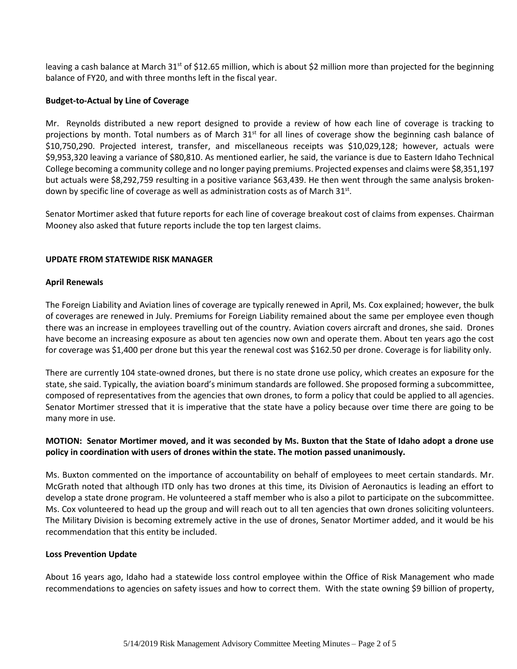leaving a cash balance at March  $31<sup>st</sup>$  of \$12.65 million, which is about \$2 million more than projected for the beginning balance of FY20, and with three months left in the fiscal year.

#### **Budget-to-Actual by Line of Coverage**

Mr. Reynolds distributed a new report designed to provide a review of how each line of coverage is tracking to projections by month. Total numbers as of March 31<sup>st</sup> for all lines of coverage show the beginning cash balance of \$10,750,290. Projected interest, transfer, and miscellaneous receipts was \$10,029,128; however, actuals were \$9,953,320 leaving a variance of \$80,810. As mentioned earlier, he said, the variance is due to Eastern Idaho Technical College becoming a community college and no longer paying premiums. Projected expenses and claims were \$8,351,197 but actuals were \$8,292,759 resulting in a positive variance \$63,439. He then went through the same analysis brokendown by specific line of coverage as well as administration costs as of March  $31^{st}$ .

Senator Mortimer asked that future reports for each line of coverage breakout cost of claims from expenses. Chairman Mooney also asked that future reports include the top ten largest claims.

# **UPDATE FROM STATEWIDE RISK MANAGER**

### **April Renewals**

The Foreign Liability and Aviation lines of coverage are typically renewed in April, Ms. Cox explained; however, the bulk of coverages are renewed in July. Premiums for Foreign Liability remained about the same per employee even though there was an increase in employees travelling out of the country. Aviation covers aircraft and drones, she said. Drones have become an increasing exposure as about ten agencies now own and operate them. About ten years ago the cost for coverage was \$1,400 per drone but this year the renewal cost was \$162.50 per drone. Coverage is for liability only.

There are currently 104 state-owned drones, but there is no state drone use policy, which creates an exposure for the state, she said. Typically, the aviation board's minimum standards are followed. She proposed forming a subcommittee, composed of representatives from the agencies that own drones, to form a policy that could be applied to all agencies. Senator Mortimer stressed that it is imperative that the state have a policy because over time there are going to be many more in use.

# **MOTION: Senator Mortimer moved, and it was seconded by Ms. Buxton that the State of Idaho adopt a drone use policy in coordination with users of drones within the state. The motion passed unanimously.**

Ms. Buxton commented on the importance of accountability on behalf of employees to meet certain standards. Mr. McGrath noted that although ITD only has two drones at this time, its Division of Aeronautics is leading an effort to develop a state drone program. He volunteered a staff member who is also a pilot to participate on the subcommittee. Ms. Cox volunteered to head up the group and will reach out to all ten agencies that own drones soliciting volunteers. The Military Division is becoming extremely active in the use of drones, Senator Mortimer added, and it would be his recommendation that this entity be included.

#### **Loss Prevention Update**

About 16 years ago, Idaho had a statewide loss control employee within the Office of Risk Management who made recommendations to agencies on safety issues and how to correct them. With the state owning \$9 billion of property,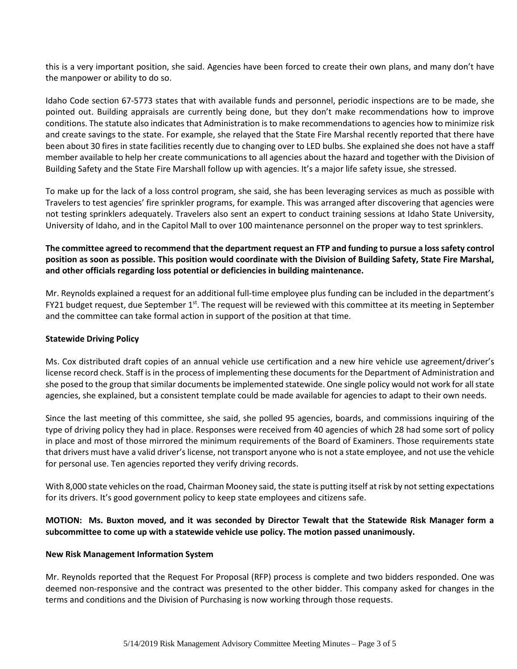this is a very important position, she said. Agencies have been forced to create their own plans, and many don't have the manpower or ability to do so.

Idaho Code section 67-5773 states that with available funds and personnel, periodic inspections are to be made, she pointed out. Building appraisals are currently being done, but they don't make recommendations how to improve conditions. The statute also indicates that Administration is to make recommendations to agencies how to minimize risk and create savings to the state. For example, she relayed that the State Fire Marshal recently reported that there have been about 30 fires in state facilities recently due to changing over to LED bulbs. She explained she does not have a staff member available to help her create communications to all agencies about the hazard and together with the Division of Building Safety and the State Fire Marshall follow up with agencies. It's a major life safety issue, she stressed.

To make up for the lack of a loss control program, she said, she has been leveraging services as much as possible with Travelers to test agencies' fire sprinkler programs, for example. This was arranged after discovering that agencies were not testing sprinklers adequately. Travelers also sent an expert to conduct training sessions at Idaho State University, University of Idaho, and in the Capitol Mall to over 100 maintenance personnel on the proper way to test sprinklers.

# **The committee agreed to recommend that the department request an FTP and funding to pursue a loss safety control position as soon as possible. This position would coordinate with the Division of Building Safety, State Fire Marshal, and other officials regarding loss potential or deficiencies in building maintenance.**

Mr. Reynolds explained a request for an additional full-time employee plus funding can be included in the department's FY21 budget request, due September  $1<sup>st</sup>$ . The request will be reviewed with this committee at its meeting in September and the committee can take formal action in support of the position at that time.

# **Statewide Driving Policy**

Ms. Cox distributed draft copies of an annual vehicle use certification and a new hire vehicle use agreement/driver's license record check. Staff is in the process of implementing these documents for the Department of Administration and she posed to the group that similar documents be implemented statewide. One single policy would not work for all state agencies, she explained, but a consistent template could be made available for agencies to adapt to their own needs.

Since the last meeting of this committee, she said, she polled 95 agencies, boards, and commissions inquiring of the type of driving policy they had in place. Responses were received from 40 agencies of which 28 had some sort of policy in place and most of those mirrored the minimum requirements of the Board of Examiners. Those requirements state that drivers must have a valid driver's license, not transport anyone who is not a state employee, and not use the vehicle for personal use. Ten agencies reported they verify driving records.

With 8,000 state vehicles on the road, Chairman Mooney said, the state is putting itself at risk by not setting expectations for its drivers. It's good government policy to keep state employees and citizens safe.

# **MOTION: Ms. Buxton moved, and it was seconded by Director Tewalt that the Statewide Risk Manager form a subcommittee to come up with a statewide vehicle use policy. The motion passed unanimously.**

# **New Risk Management Information System**

Mr. Reynolds reported that the Request For Proposal (RFP) process is complete and two bidders responded. One was deemed non-responsive and the contract was presented to the other bidder. This company asked for changes in the terms and conditions and the Division of Purchasing is now working through those requests.